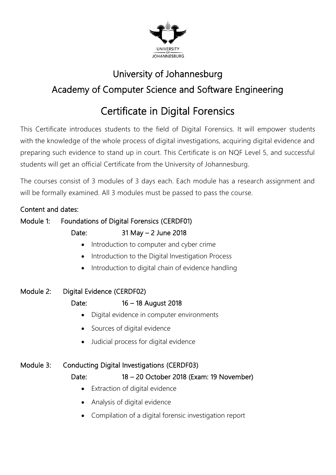

# University of Johannesburg Academy of Computer Science and Software Engineering

# Certificate in Digital Forensics

This Certificate introduces students to the field of Digital Forensics. It will empower students with the knowledge of the whole process of digital investigations, acquiring digital evidence and preparing such evidence to stand up in court. This Certificate is on NQF Level 5, and successful students will get an official Certificate from the University of Johannesburg.

The courses consist of 3 modules of 3 days each. Each module has a research assignment and will be formally examined. All 3 modules must be passed to pass the course.

### Content and dates:

## Module 1: Foundations of Digital Forensics (CERDF01) Date: 31 May – 2 June 2018

- Introduction to computer and cyber crime
- Introduction to the Digital Investigation Process
- Introduction to digital chain of evidence handling

### Module 2: Digital Evidence (CERDF02)

### Date: 16 – 18 August 2018

- Digital evidence in computer environments
- Sources of digital evidence
- Judicial process for digital evidence

### Module 3: Conducting Digital Investigations (CERDF03)

- Date: 18 20 October 2018 (Exam: 19 November) • Extraction of digital evidence
	- Analysis of digital evidence
	- Compilation of a digital forensic investigation report